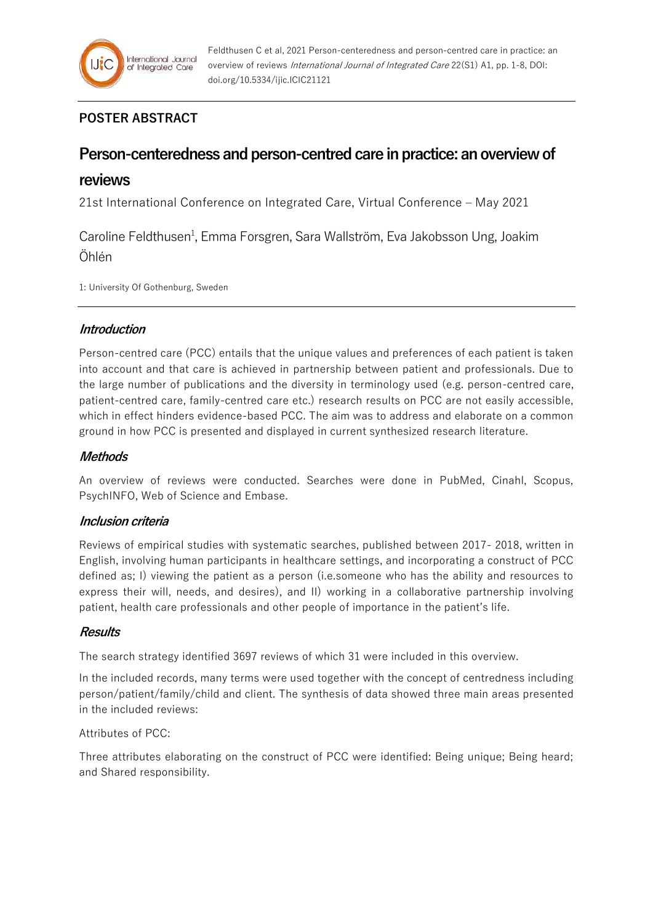# **POSTER ABSTRACT**

# **Person-centeredness and person-centred care in practice: an overview of**

# **reviews**

21st International Conference on Integrated Care, Virtual Conference – May 2021

Caroline Feldthusen<sup>1</sup>, Emma Forsgren, Sara Wallström, Eva Jakobsson Ung, Joakim Öhlén

1: University Of Gothenburg, Sweden

# **Introduction**

Person-centred care (PCC) entails that the unique values and preferences of each patient is taken into account and that care is achieved in partnership between patient and professionals. Due to the large number of publications and the diversity in terminology used (e.g. person-centred care, patient-centred care, family-centred care etc.) research results on PCC are not easily accessible, which in effect hinders evidence-based PCC. The aim was to address and elaborate on a common ground in how PCC is presented and displayed in current synthesized research literature.

# **Methods**

An overview of reviews were conducted. Searches were done in PubMed, Cinahl, Scopus, PsychINFO, Web of Science and Embase.

# **Inclusion criteria**

Reviews of empirical studies with systematic searches, published between 2017- 2018, written in English, involving human participants in healthcare settings, and incorporating a construct of PCC defined as; I) viewing the patient as a person (i.e.someone who has the ability and resources to express their will, needs, and desires), and II) working in a collaborative partnership involving patient, health care professionals and other people of importance in the patient's life.

# **Results**

The search strategy identified 3697 reviews of which 31 were included in this overview.

In the included records, many terms were used together with the concept of centredness including person/patient/family/child and client. The synthesis of data showed three main areas presented in the included reviews:

#### Attributes of PCC:

Three attributes elaborating on the construct of PCC were identified: Being unique; Being heard; and Shared responsibility.